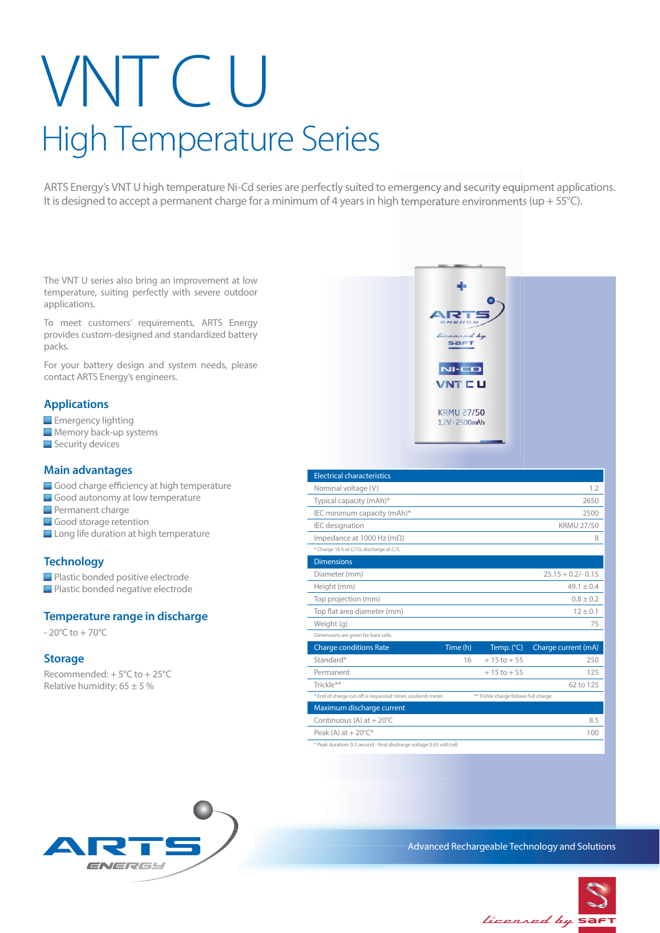# VNT C U High Temperature Series

ARTS Energy's VNT U high temperature Ni-Cd series are perfectly suited to emergency and security equipment applications. It is designed to accept a permanent charge for a minimum of 4 years in high temperature environments (up + 55°C).

The VNT U series also bring an improvement at low temperature, suiting perfectly with severe outdoor applications.

To meet customers' requirements, ARTS Energy provides custom-designed and standardized battery packs.

For your battery design and system needs, please contact ARTS Energy's engineers.

## **Applications**

- **Emergency lighting**
- **Memory back-up systems**
- Security devices

#### **Main advantages**

- Good charge efficiency at high temperature
- Good autonomy at low temperature
- **Permanent charge**
- Good storage retention
- Long life duration at high temperature

## **Technology**

- **Plastic bonded positive electrode**
- **Plastic bonded negative electrode**

## **Temperature range in discharge**

 $-20^{\circ}$ C to  $+70^{\circ}$ C

#### **Storage**

Recommended: + 5°C to + 25°C Relative humidity:  $65 \pm 5 \%$ 



ARTS Advanced Rechargeable Technology and Solutions